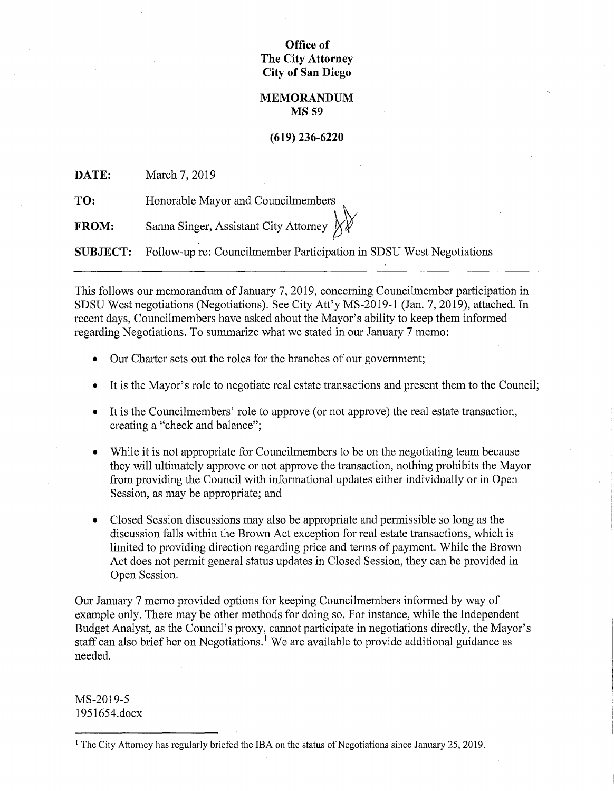# **Office of The City Attorney City of San Diego**

## **MEMORANDUM MS59**

# **(619) 236-6220**

**DATE:**  March 7, 2019

**TO:**  Honorable Mayor and Councilmembers

**FROM:**  Sanna Singer, Assistant City Attorney  $\chi$ 

**SUBJECT:**  Follow-up re: Councilmember Participation in SDSU West Negotiations

This follows our memorandum of January 7, 2019, concerning Councilmember participation in SDSU West negotiations (Negotiations). See City Att'y MS-2019-1 (Jan. 7, 2019), attached. In recent days, Councilmembers have asked about the Mayor's ability to keep them informed regarding Negotiations. To summarize what we stated in our January 7 memo:

- Our Charter sets out the roles for the branches of our government;
- It is the Mayor's role to negotiate real estate transactions and present them to the Council;
- It is the Councilmembers' role to approve (or not approve) the real estate transaction, creating a "check and balance";
- While it is not appropriate for Councilmembers to be on the negotiating team because they will ultimately approve or not approve the transaction, nothing prohibits the Mayor from providing the Council with informational updates either individually or in Open Session, as may be appropriate; and
- Closed Session discussions may also be appropriate and permissible so long as the discussion falls within the Brown Act exception for real estate transactions, which is limited to providing direction regarding price and terms of payment. While the Brown Act does not permit general status updates in Closed Session, they can be provided in Open Session.

Our January 7 memo provided options for keeping Councilmembers informed by way of example only. There may be other methods for doing so. For instance, while the Independent Budget Analyst, as the Council's proxy, cannot participate in negotiations directly, the Mayor's staff can also brief her on Negotiations.<sup>1</sup> We are available to provide additional guidance as needed.

MS-2019-5 1951654.docx

<sup>1</sup> The City Attorney has regularly briefed the IBA on the status of Negotiations since January 25, 2019.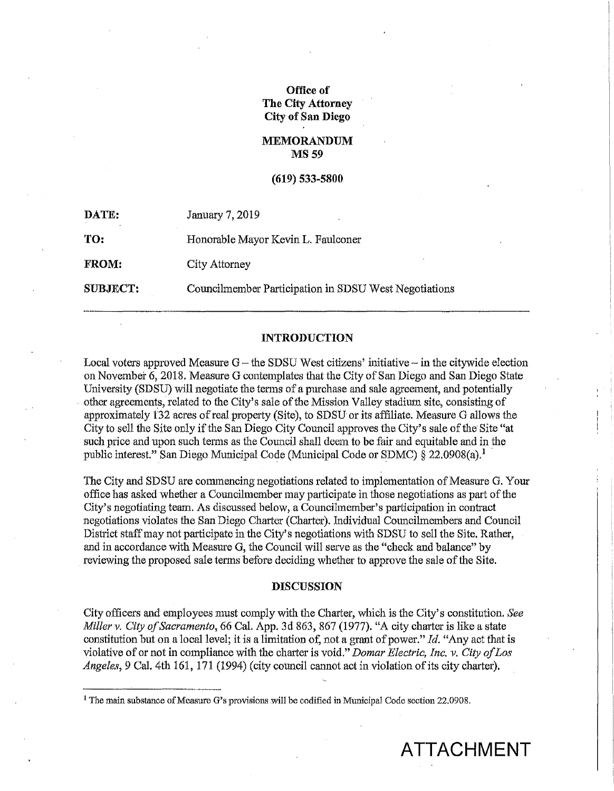# **Office of The City Attorney City of San Diego**

## **MEMORANDUM MS59**

#### **(619) 533-5800**

| DATE:           | January 7, 2019                                       |
|-----------------|-------------------------------------------------------|
| TO:             | Honorable Mayor Kevin L. Faulconer                    |
| <b>FROM:</b>    | City Attorney                                         |
| <b>SUBJECT:</b> | Councilmember Participation in SDSU West Negotiations |

#### **INTRODUCTION**

Local voters approved Measure  $G$  – the SDSU West citizens' initiative – in the citywide election on November 6, 2018. Measure G contemplates that the City of San Diego and San Diego State University (SDSU) will negotiate the terms of a purchase and sale agreement, and potentially other agreements, related to the City's sale of the Mission Valley stadium site, consisting of approximately 132 acres of real property (Site), to SDSU or its affiliate. Measure G allows the City to sell the Site only if the San Diego City Council approves the. City's sale of the Site "at such price and upon such terms as the Council shall deem to be fair and equitable and in the public interest." San Diego Municipal Code (Municipal Code or SDMC)  $\bar{\S}$  22.0908(a).<sup>1</sup>

The City and SDSU are commencing negotiations related to implementation of Measure G. Your office has asked whether a Councilmember may participate in those negotiations as part of the City's negotiating team. As discussed below, a Councilmember's participation in contract negotiations violates the San Diego Charter (Charter). Individual Councihnembers and Council District staff may not participate in the City's negotiations with SDSU to sell the Site. Rather, and in accordance with Measure G, the Council will serve as the "check and balance" by reviewing the proposed sale terms before deciding whether to approve the sale of the Site.

### **DISCUSSION**

City officers and employees must comply with the Charter, which is the City's constitution. See *Miller v. City of Sacramento,* 66 Cal. App. 3d 863, 867 (1977). "A city charter is like a state constitution but on a local level; it is a limitation of, not a grant of power." *Id.* "Any act that is violative of or not in compliance with the charter is void." *Damar Electric, Inc. v. City of Los Angeles,* 9 Cal. 4th 161, 171 (1994) (city council cannot act in violation of its city charter).

 $1$  The main substance of Measure G's provisions will be codified in Municipal Code section 22.0908.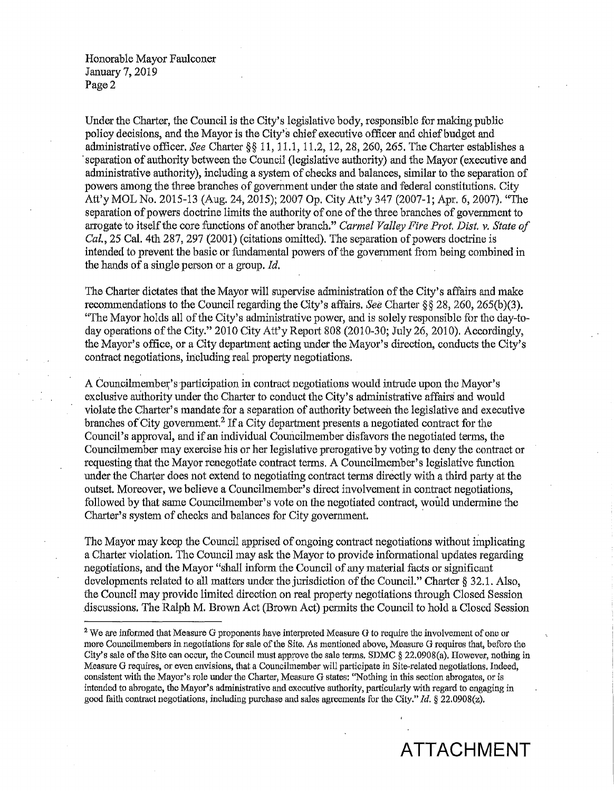Honorable Mayor Faulconer January 7, 2019 Page 2

Under the Charter, the Council is the City's legislative body, responsible for making public policy decisions, and the Mayor is the City's chief executive officer and chief budget and administrative officer. *See* Charter§§ 11, 11.1, 11.2, 12, 28, 260, 265. The Charter establishes a ·separation of authority between the Council (legislative authority) and the Mayor (executive and administrative authority), including a system of checks and balances, similar to the separation of powers among the three branches of government under the state and federal constitutions. City Att'y MOL No. 2015-13 (Aug. 24, 2015); 2007 Op. City Att'y 347 (2007-1; Apr. 6, 2007). "The separation of powers doctrine limits the authority of one of the three branches of govermnent to arrogate 'to itself the core functions of another branch." *Carmel Valley Fire Prot. Dist. v. State of Cal.,* 25 Cal. 4th 287, 297 (2001) (citations omitted). The separation of powers doctrine is intended to prevent the basic or fundamental powers of the government from being combined in the hands of a single person or a group. *Id.* 

The Charter dictates that the Mayor will supervise administration of the City's affairs and make recommendations to the Council regarding the City's affairs. *See* Charter§§ 28, 260, 265(b)(3). "The Mayor holds all of the City's administrative power, and is solely responsible for the day-today operations of the City." 2010 City Att'y Report 808 (2010-30; July 26, 2010). Accordingly, the Mayor's office, or a City department acting under the Mayor's direction, conducts the City's contract negotiations, including real property negotiations.

A Councilmember's participation in contract negotiations would intrude upon the Mayor's exclusive authority under the Charter to conduct the City's administrative affairs and would violate the Chatter' s mandate for a separation of authority between the legislative and executive branches of City government.<sup>2</sup> If a City department presents a negotiated contract for the Council's approval, and if an individual Councilmember disfavors the negotiated terms, the Councihnember may exercise his or her legislative prerogative by voting to deny the contract or requesting that the Mayor renegotiate contract terms. A Councihnember's legislative function under the Charter does not extend to negotiating contract tenns directly with a third party at the outset. Moreover, we believe a Councilmember's direct involvement in contract negotiations, followed by that same Councilmember's vote on the negotiated contract, would undermine the Charter's system of checks and balances for City government.

The Mayor may keep the Council apprised of ongoing contract negotiations without implicating a Charter violation. The Council may ask the Mayor to provide informational updates regarding negotiations, and the Mayor "shall infotm the Council of any material facts or significant developments related to all matters under the jurisdiction of the Council." Charter § 32.1. Also, the Council may provide limited direction on real property negotiations through Closed Session .discussions. The Ralph M. Brown Act (Brown Act) permits the Council to hold a Closed Session

<sup>&</sup>lt;sup>2</sup> We are informed that Measure G proponents have interpreted Measure G to require the involvement of one or more Councihnembers in negotiations for sale of the Site. As mentioned above, Measure G requires that, before the City's sale of the Site can occur, the Council must approve the sale terms. SDMC  $\S$  22.0908(a). However, nothing in Measure G requires, or even envisions, that a Councilmember will participate in Site-related negotiations. Indeed, consistent with the Mayor's role under the Charter, Measure G states: ''Nothing in this section abrogates, or is intended to abrogate, the Mayor's administrative and executive authority, particularly with regard to engaging in good faith contract negotiations, including purchase and sales agreements for the City." *Id.* § 22.0908(z).